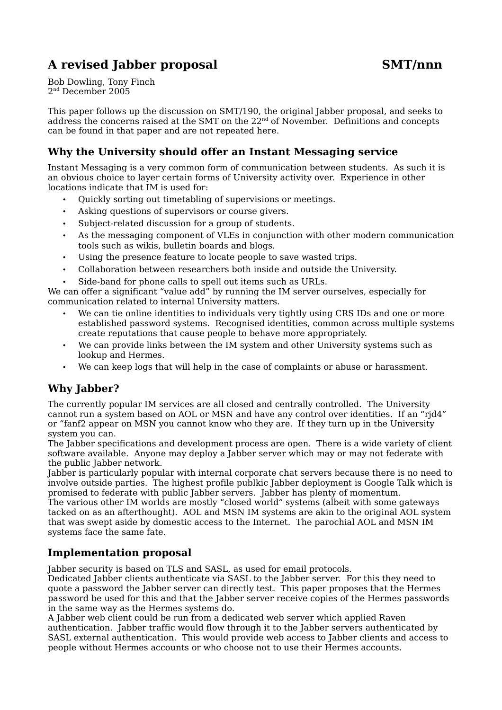# **A revised Jabber proposal SMT/nnn**

Bob Dowling, Tony Finch 2 nd December 2005

This paper follows up the discussion on SMT/190, the original Jabber proposal, and seeks to address the concerns raised at the SMT on the 22 $^{\rm nd}$  of November. Definitions and concepts can be found in that paper and are not repeated here.

## **Why the University should offer an Instant Messaging service**

Instant Messaging is a very common form of communication between students. As such it is an obvious choice to layer certain forms of University activity over. Experience in other locations indicate that IM is used for:

- Quickly sorting out timetabling of supervisions or meetings.
- Asking questions of supervisors or course givers.
- Subject-related discussion for a group of students.
- As the messaging component of VLEs in conjunction with other modern communication tools such as wikis, bulletin boards and blogs.
- Using the presence feature to locate people to save wasted trips.
- Collaboration between researchers both inside and outside the University.
- Side-band for phone calls to spell out items such as URLs.

We can offer a significant "value add" by running the IM server ourselves, especially for communication related to internal University matters.

- We can tie online identities to individuals very tightly using CRS IDs and one or more established password systems. Recognised identities, common across multiple systems create reputations that cause people to behave more appropriately.
- We can provide links between the IM system and other University systems such as lookup and Hermes.
- We can keep logs that will help in the case of complaints or abuse or harassment.

# **Why Jabber?**

The currently popular IM services are all closed and centrally controlled. The University cannot run a system based on AOL or MSN and have any control over identities. If an "rjd4" or "fanf2 appear on MSN you cannot know who they are. If they turn up in the University system you can.

The Jabber specifications and development process are open. There is a wide variety of client software available. Anyone may deploy a Jabber server which may or may not federate with the public Jabber network.

Jabber is particularly popular with internal corporate chat servers because there is no need to involve outside parties. The highest profile publkic Jabber deployment is Google Talk which is promised to federate with public Jabber servers. Jabber has plenty of momentum.

The various other IM worlds are mostly "closed world" systems (albeit with some gateways tacked on as an afterthought). AOL and MSN IM systems are akin to the original AOL system that was swept aside by domestic access to the Internet. The parochial AOL and MSN IM systems face the same fate.

### **Implementation proposal**

Jabber security is based on TLS and SASL, as used for email protocols.

Dedicated Jabber clients authenticate via SASL to the Jabber server. For this they need to quote a password the Jabber server can directly test. This paper proposes that the Hermes password be used for this and that the Jabber server receive copies of the Hermes passwords in the same way as the Hermes systems do.

A Jabber web client could be run from a dedicated web server which applied Raven authentication. Jabber traffic would flow through it to the Jabber servers authenticated by SASL external authentication. This would provide web access to Jabber clients and access to people without Hermes accounts or who choose not to use their Hermes accounts.